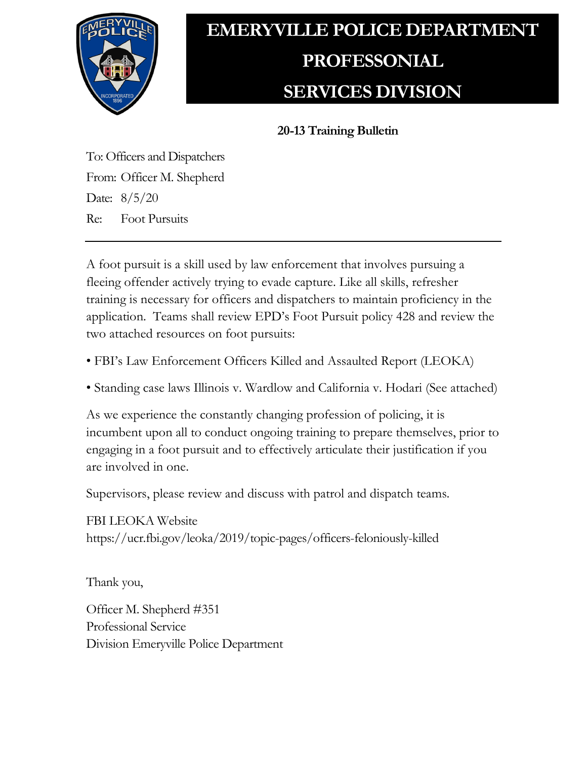

## **EMERYVILLE POLICE DEPARTMENT PROFESSONIAL SERVICES DIVISION**

**20-13 Training Bulletin**

To: Officers and Dispatchers From: Officer M. Shepherd Date: 8/5/20 Re: Foot Pursuits

A foot pursuit is a skill used by law enforcement that involves pursuing a fleeing offender actively trying to evade capture. Like all skills, refresher training is necessary for officers and dispatchers to maintain proficiency in the application. Teams shall review EPD's Foot Pursuit policy 428 and review the two attached resources on foot pursuits:

- FBI's Law Enforcement Officers Killed and Assaulted Report (LEOKA)
- Standing case laws Illinois v. Wardlow and California v. Hodari (See attached)

As we experience the constantly changing profession of policing, it is incumbent upon all to conduct ongoing training to prepare themselves, prior to engaging in a foot pursuit and to effectively articulate their justification if you are involved in one.

Supervisors, please review and discuss with patrol and dispatch teams.

FBI LEOKA Website https://ucr.fbi.gov/leoka/2019/topic-pages/officers-feloniously-killed

Thank you,

Officer M. Shepherd #351 Professional Service Division Emeryville Police Department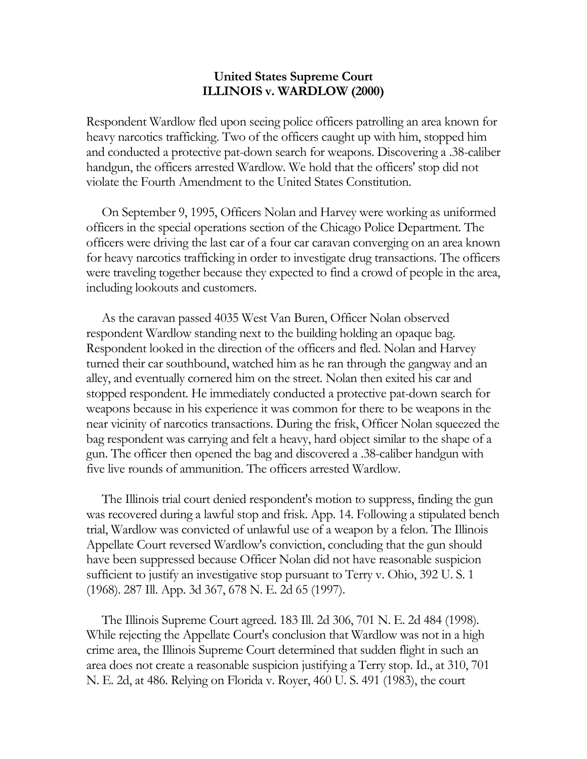## **United States Supreme Court ILLINOIS v. WARDLOW (2000)**

Respondent Wardlow fled upon seeing police officers patrolling an area known for heavy narcotics trafficking. Two of the officers caught up with him, stopped him and conducted a protective pat-down search for weapons. Discovering a .38-caliber handgun, the officers arrested Wardlow. We hold that the officers' stop did not violate the Fourth Amendment to the United States Constitution.

 On September 9, 1995, Officers Nolan and Harvey were working as uniformed officers in the special operations section of the Chicago Police Department. The officers were driving the last car of a four car caravan converging on an area known for heavy narcotics trafficking in order to investigate drug transactions. The officers were traveling together because they expected to find a crowd of people in the area, including lookouts and customers.

 As the caravan passed 4035 West Van Buren, Officer Nolan observed respondent Wardlow standing next to the building holding an opaque bag. Respondent looked in the direction of the officers and fled. Nolan and Harvey turned their car southbound, watched him as he ran through the gangway and an alley, and eventually cornered him on the street. Nolan then exited his car and stopped respondent. He immediately conducted a protective pat-down search for weapons because in his experience it was common for there to be weapons in the near vicinity of narcotics transactions. During the frisk, Officer Nolan squeezed the bag respondent was carrying and felt a heavy, hard object similar to the shape of a gun. The officer then opened the bag and discovered a .38-caliber handgun with five live rounds of ammunition. The officers arrested Wardlow.

 The Illinois trial court denied respondent's motion to suppress, finding the gun was recovered during a lawful stop and frisk. App. 14. Following a stipulated bench trial, Wardlow was convicted of unlawful use of a weapon by a felon. The Illinois Appellate Court reversed Wardlow's conviction, concluding that the gun should have been suppressed because Officer Nolan did not have reasonable suspicion sufficient to justify an investigative stop pursuant to Terry v. Ohio, 392 U. S. 1 (1968). 287 Ill. App. 3d 367, 678 N. E. 2d 65 (1997).

 The Illinois Supreme Court agreed. 183 Ill. 2d 306, 701 N. E. 2d 484 (1998). While rejecting the Appellate Court's conclusion that Wardlow was not in a high crime area, the Illinois Supreme Court determined that sudden flight in such an area does not create a reasonable suspicion justifying a Terry stop. Id., at 310, 701 N. E. 2d, at 486. Relying on Florida v. Royer, 460 U. S. 491 (1983), the court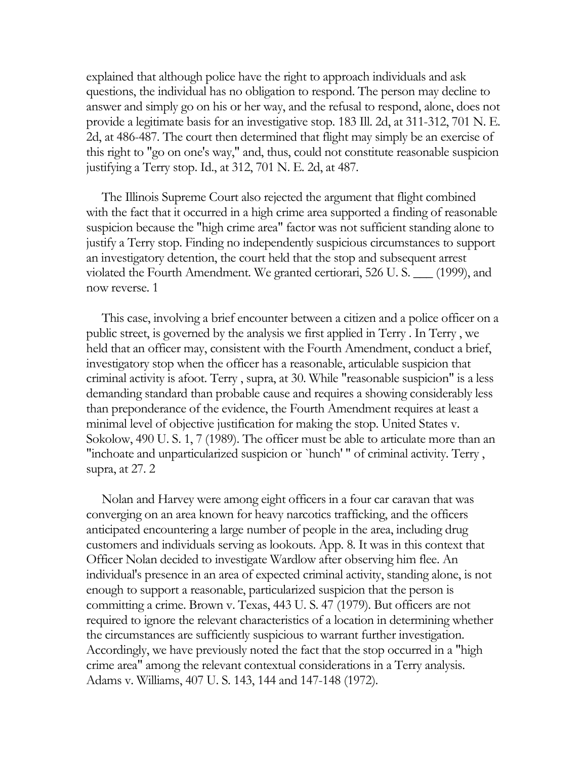explained that although police have the right to approach individuals and ask questions, the individual has no obligation to respond. The person may decline to answer and simply go on his or her way, and the refusal to respond, alone, does not provide a legitimate basis for an investigative stop. 183 Ill. 2d, at 311-312, 701 N. E. 2d, at 486-487. The court then determined that flight may simply be an exercise of this right to "go on one's way," and, thus, could not constitute reasonable suspicion justifying a Terry stop. Id., at 312, 701 N. E. 2d, at 487.

 The Illinois Supreme Court also rejected the argument that flight combined with the fact that it occurred in a high crime area supported a finding of reasonable suspicion because the "high crime area" factor was not sufficient standing alone to justify a Terry stop. Finding no independently suspicious circumstances to support an investigatory detention, the court held that the stop and subsequent arrest violated the Fourth Amendment. We granted certiorari, 526 U. S. \_\_\_ (1999), and now reverse. 1

 This case, involving a brief encounter between a citizen and a police officer on a public street, is governed by the analysis we first applied in Terry . In Terry , we held that an officer may, consistent with the Fourth Amendment, conduct a brief, investigatory stop when the officer has a reasonable, articulable suspicion that criminal activity is afoot. Terry , supra, at 30. While "reasonable suspicion" is a less demanding standard than probable cause and requires a showing considerably less than preponderance of the evidence, the Fourth Amendment requires at least a minimal level of objective justification for making the stop. United States v. Sokolow, 490 U. S. 1, 7 (1989). The officer must be able to articulate more than an "inchoate and unparticularized suspicion or `hunch' " of criminal activity. Terry , supra, at 27. 2

 Nolan and Harvey were among eight officers in a four car caravan that was converging on an area known for heavy narcotics trafficking, and the officers anticipated encountering a large number of people in the area, including drug customers and individuals serving as lookouts. App. 8. It was in this context that Officer Nolan decided to investigate Wardlow after observing him flee. An individual's presence in an area of expected criminal activity, standing alone, is not enough to support a reasonable, particularized suspicion that the person is committing a crime. Brown v. Texas, 443 U. S. 47 (1979). But officers are not required to ignore the relevant characteristics of a location in determining whether the circumstances are sufficiently suspicious to warrant further investigation. Accordingly, we have previously noted the fact that the stop occurred in a "high crime area" among the relevant contextual considerations in a Terry analysis. Adams v. Williams, 407 U. S. 143, 144 and 147-148 (1972).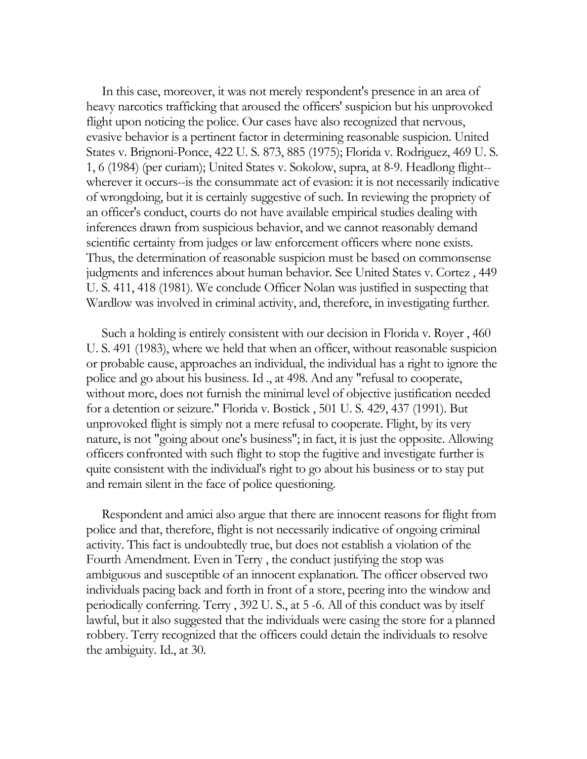In this case, moreover, it was not merely respondent's presence in an area of heavy narcotics trafficking that aroused the officers' suspicion but his unprovoked flight upon noticing the police. Our cases have also recognized that nervous, evasive behavior is a pertinent factor in determining reasonable suspicion. United States v. Brignoni-Ponce, 422 U. S. 873, 885 (1975); Florida v. Rodriguez, 469 U. S. 1, 6 (1984) (per curiam); United States v. Sokolow, supra, at 8-9. Headlong flight- wherever it occurs--is the consummate act of evasion: it is not necessarily indicative of wrongdoing, but it is certainly suggestive of such. In reviewing the propriety of an officer's conduct, courts do not have available empirical studies dealing with inferences drawn from suspicious behavior, and we cannot reasonably demand scientific certainty from judges or law enforcement officers where none exists. Thus, the determination of reasonable suspicion must be based on commonsense judgments and inferences about human behavior. See United States v. Cortez , 449 U. S. 411, 418 (1981). We conclude Officer Nolan was justified in suspecting that Wardlow was involved in criminal activity, and, therefore, in investigating further.

 Such a holding is entirely consistent with our decision in Florida v. Royer , 460 U. S. 491 (1983), where we held that when an officer, without reasonable suspicion or probable cause, approaches an individual, the individual has a right to ignore the police and go about his business. Id ., at 498. And any "refusal to cooperate, without more, does not furnish the minimal level of objective justification needed for a detention or seizure." Florida v. Bostick , 501 U. S. 429, 437 (1991). But unprovoked flight is simply not a mere refusal to cooperate. Flight, by its very nature, is not "going about one's business"; in fact, it is just the opposite. Allowing officers confronted with such flight to stop the fugitive and investigate further is quite consistent with the individual's right to go about his business or to stay put and remain silent in the face of police questioning.

 Respondent and amici also argue that there are innocent reasons for flight from police and that, therefore, flight is not necessarily indicative of ongoing criminal activity. This fact is undoubtedly true, but does not establish a violation of the Fourth Amendment. Even in Terry , the conduct justifying the stop was ambiguous and susceptible of an innocent explanation. The officer observed two individuals pacing back and forth in front of a store, peering into the window and periodically conferring. Terry , 392 U. S., at 5 -6. All of this conduct was by itself lawful, but it also suggested that the individuals were casing the store for a planned robbery. Terry recognized that the officers could detain the individuals to resolve the ambiguity. Id., at 30.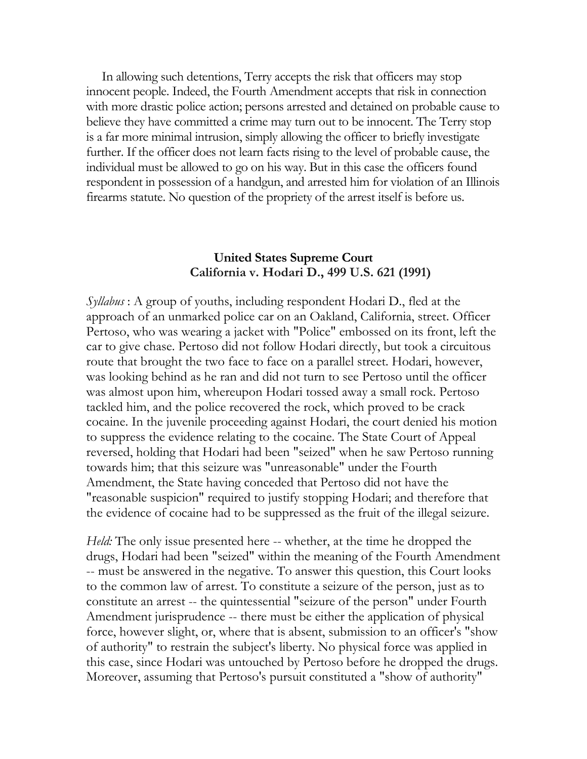In allowing such detentions, Terry accepts the risk that officers may stop innocent people. Indeed, the Fourth Amendment accepts that risk in connection with more drastic police action; persons arrested and detained on probable cause to believe they have committed a crime may turn out to be innocent. The Terry stop is a far more minimal intrusion, simply allowing the officer to briefly investigate further. If the officer does not learn facts rising to the level of probable cause, the individual must be allowed to go on his way. But in this case the officers found respondent in possession of a handgun, and arrested him for violation of an Illinois firearms statute. No question of the propriety of the arrest itself is before us.

## **United States Supreme Court California v. Hodari D., 499 U.S. 621 (1991)**

*Syllabus* : A group of youths, including respondent Hodari D., fled at the approach of an unmarked police car on an Oakland, California, street. Officer Pertoso, who was wearing a jacket with "Police" embossed on its front, left the car to give chase. Pertoso did not follow Hodari directly, but took a circuitous route that brought the two face to face on a parallel street. Hodari, however, was looking behind as he ran and did not turn to see Pertoso until the officer was almost upon him, whereupon Hodari tossed away a small rock. Pertoso tackled him, and the police recovered the rock, which proved to be crack cocaine. In the juvenile proceeding against Hodari, the court denied his motion to suppress the evidence relating to the cocaine. The State Court of Appeal reversed, holding that Hodari had been "seized" when he saw Pertoso running towards him; that this seizure was "unreasonable" under the Fourth Amendment, the State having conceded that Pertoso did not have the "reasonable suspicion" required to justify stopping Hodari; and therefore that the evidence of cocaine had to be suppressed as the fruit of the illegal seizure.

*Held:* The only issue presented here -- whether, at the time he dropped the drugs, Hodari had been "seized" within the meaning of the Fourth Amendment -- must be answered in the negative. To answer this question, this Court looks to the common law of arrest. To constitute a seizure of the person, just as to constitute an arrest -- the quintessential "seizure of the person" under Fourth Amendment jurisprudence -- there must be either the application of physical force, however slight, or, where that is absent, submission to an officer's "show of authority" to restrain the subject's liberty. No physical force was applied in this case, since Hodari was untouched by Pertoso before he dropped the drugs. Moreover, assuming that Pertoso's pursuit constituted a "show of authority"